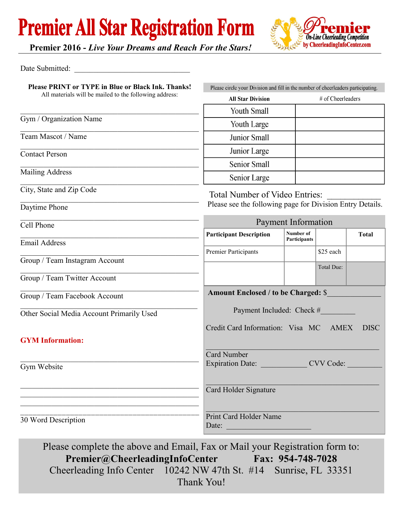### **Premier All Star Registration Form**



**Premier 2016 -** *Live Your Dreams and Reach For the Stars!*

#### Date Submitted:

| All materials will be mailed to the following address: | Please circle your Division and fill in the number of cheerleaders participating. |                           |                   |              |  |
|--------------------------------------------------------|-----------------------------------------------------------------------------------|---------------------------|-------------------|--------------|--|
|                                                        | <b>All Star Division</b>                                                          |                           | # of Cheerleaders |              |  |
|                                                        | <b>Youth Small</b>                                                                |                           |                   |              |  |
| Gym / Organization Name                                | Youth Large                                                                       |                           |                   |              |  |
| Team Mascot / Name                                     | <b>Junior Small</b>                                                               |                           |                   |              |  |
| <b>Contact Person</b>                                  | Junior Large                                                                      |                           |                   |              |  |
|                                                        | <b>Senior Small</b>                                                               |                           |                   |              |  |
| <b>Mailing Address</b>                                 | Senior Large                                                                      |                           |                   |              |  |
| City, State and Zip Code                               | <b>Total Number of Video Entries:</b>                                             |                           |                   |              |  |
| Daytime Phone                                          | Please see the following page for Division Entry Details.                         |                           |                   |              |  |
| Cell Phone                                             | Payment Information                                                               |                           |                   |              |  |
|                                                        | <b>Participant Description</b>                                                    | Number of<br>Participants |                   | <b>Total</b> |  |
| <b>Email Address</b>                                   | Premier Participants                                                              |                           | \$25 each         |              |  |
| Group / Team Instagram Account                         |                                                                                   |                           |                   |              |  |
| Group / Team Twitter Account                           |                                                                                   |                           | Total Due:        |              |  |
| Group / Team Facebook Account                          | <b>Amount Enclosed / to be Charged: \$</b>                                        |                           |                   |              |  |
| Other Social Media Account Primarily Used              | Payment Included: Check #                                                         |                           |                   |              |  |
|                                                        | Credit Card Information: Visa MC<br><b>DISC</b><br><b>AMEX</b>                    |                           |                   |              |  |
| <b>GYM</b> Information:                                |                                                                                   |                           |                   |              |  |
|                                                        | <b>Card Number</b>                                                                |                           |                   |              |  |
| Gym Website                                            | CVV Code<br><b>Expiration Date:</b>                                               |                           |                   |              |  |
|                                                        |                                                                                   |                           |                   |              |  |
|                                                        | Card Holder Signature                                                             |                           |                   |              |  |
|                                                        |                                                                                   |                           |                   |              |  |
| 30 Word Description                                    | Print Card Holder Name<br>Date:                                                   |                           |                   |              |  |

**Premier@CheerleadingInfoCenter Fax: 954-748-7028** Cheerleading Info Center 10242 NW 47th St. #14 Sunrise, FL 33351 Thank You!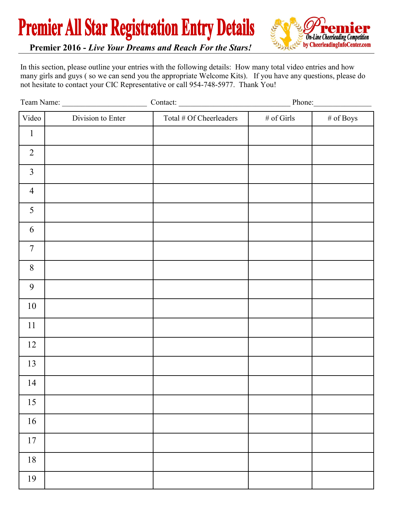**Premier All Star Registration Entry Details** 



**Premier 2016 -** *Live Your Dreams and Reach For the Stars!*

In this section, please outline your entries with the following details: How many total video entries and how many girls and guys ( so we can send you the appropriate Welcome Kits). If you have any questions, please do not hesitate to contact your CIC Representative or call 954-748-5977. Thank You!

|                | Team Name:        | Contact: Phone: Phone:  |               |              |
|----------------|-------------------|-------------------------|---------------|--------------|
| Video          | Division to Enter | Total # Of Cheerleaders | $\#$ of Girls | $\#$ of Boys |
| $\mathbf{1}$   |                   |                         |               |              |
| $\overline{2}$ |                   |                         |               |              |
| $\overline{3}$ |                   |                         |               |              |
| $\overline{4}$ |                   |                         |               |              |
| 5              |                   |                         |               |              |
| 6              |                   |                         |               |              |
| $\overline{7}$ |                   |                         |               |              |
| $8\,$          |                   |                         |               |              |
| 9              |                   |                         |               |              |
| 10             |                   |                         |               |              |
| 11             |                   |                         |               |              |
| 12             |                   |                         |               |              |
| 13             |                   |                         |               |              |
| 14             |                   |                         |               |              |
| 15             |                   |                         |               |              |
| 16             |                   |                         |               |              |
| $17\,$         |                   |                         |               |              |
| $18\,$         |                   |                         |               |              |
| 19             |                   |                         |               |              |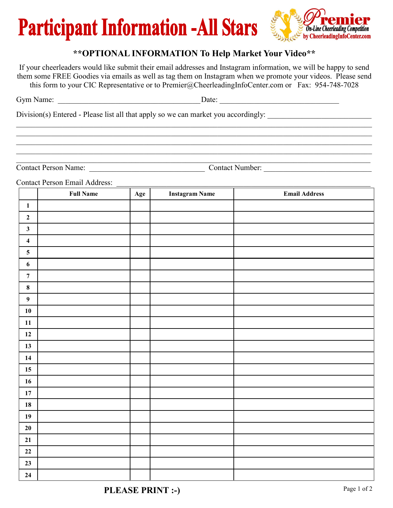# **Participant Information -All Stars**



#### **\*\*OPTIONAL INFORMATION To Help Market Your Video\*\***

If your cheerleaders would like submit their email addresses and Instagram information, we will be happy to send them some FREE Goodies via emails as well as tag them on Instagram when we promote your videos. Please send this form to your CIC Representative or to Premier@CheerleadingInfoCenter.com or Fax: 954-748-7028

| $\overline{\phantom{0}}$<br>$\int$ rvm<br>N SI HE<br>ີ | rale<br>- - - - |
|--------------------------------------------------------|-----------------|
|                                                        |                 |

 $\_$  , and the contribution of the contribution of the contribution of the contribution of the contribution of  $\mathcal{L}_\text{max}$  $\_$  , and the contribution of the contribution of the contribution of the contribution of the contribution of  $\mathcal{L}_\text{max}$  $\_$  , and the contribution of the contribution of the contribution of the contribution of the contribution of  $\mathcal{L}_\text{max}$  $\mathcal{L}_\mathcal{L} = \mathcal{L}_\mathcal{L} = \mathcal{L}_\mathcal{L} = \mathcal{L}_\mathcal{L} = \mathcal{L}_\mathcal{L} = \mathcal{L}_\mathcal{L} = \mathcal{L}_\mathcal{L} = \mathcal{L}_\mathcal{L} = \mathcal{L}_\mathcal{L} = \mathcal{L}_\mathcal{L} = \mathcal{L}_\mathcal{L} = \mathcal{L}_\mathcal{L} = \mathcal{L}_\mathcal{L} = \mathcal{L}_\mathcal{L} = \mathcal{L}_\mathcal{L} = \mathcal{L}_\mathcal{L} = \mathcal{L}_\mathcal{L}$ 

Division(s) Entered - Please list all that apply so we can market you accordingly:

Contact Person Name: \_\_\_\_\_\_\_\_\_\_\_\_\_\_\_\_\_\_\_\_\_\_\_\_\_\_\_\_\_\_ Contact Number: \_\_\_\_\_\_\_\_\_\_\_\_\_\_\_\_\_\_\_\_\_\_\_\_\_\_\_\_

 $\_$  , and the contribution of the contribution of the contribution of the contribution of  $\mathcal{L}_\text{max}$ 

Contact Person Email Address:

|                         | <b>Full Name</b> | Age | <b>Instagram Name</b> | <b>Email Address</b> |
|-------------------------|------------------|-----|-----------------------|----------------------|
| $\mathbf{1}$            |                  |     |                       |                      |
| $\overline{2}$          |                  |     |                       |                      |
| $\mathbf{3}$            |                  |     |                       |                      |
| $\overline{\mathbf{4}}$ |                  |     |                       |                      |
| $\overline{\mathbf{5}}$ |                  |     |                       |                      |
| $\boldsymbol{6}$        |                  |     |                       |                      |
| $\boldsymbol{7}$        |                  |     |                       |                      |
| $\bf 8$                 |                  |     |                       |                      |
| $\boldsymbol{9}$        |                  |     |                       |                      |
| ${\bf 10}$              |                  |     |                       |                      |
| ${\bf 11}$              |                  |     |                       |                      |
| $12\,$                  |                  |     |                       |                      |
| 13                      |                  |     |                       |                      |
| 14                      |                  |     |                       |                      |
| $15\,$                  |                  |     |                       |                      |
| 16                      |                  |     |                       |                      |
| $17\,$                  |                  |     |                       |                      |
| ${\bf 18}$              |                  |     |                       |                      |
| 19                      |                  |     |                       |                      |
| $20\,$                  |                  |     |                       |                      |
| 21                      |                  |     |                       |                      |
| $\bf{22}$               |                  |     |                       |                      |
| 23                      |                  |     |                       |                      |
| 24                      |                  |     |                       |                      |